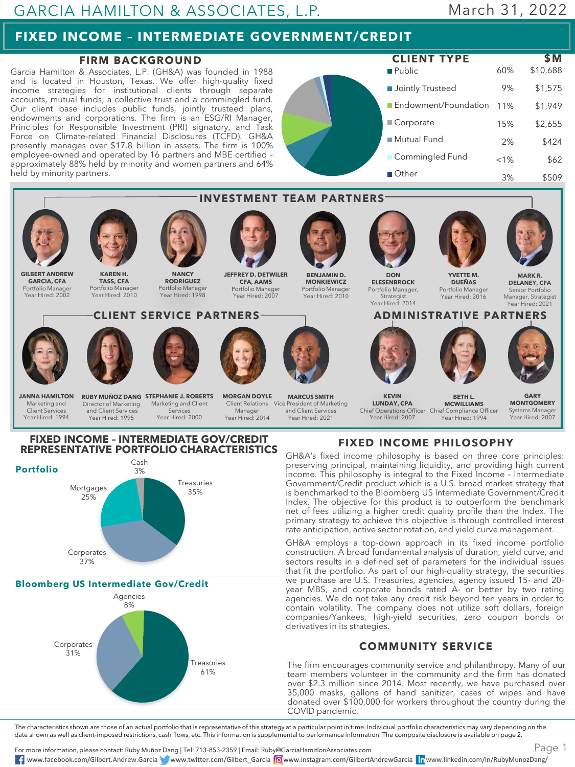## GARCIA HAMILTON & ASSOCIATES, L.P.

# March 31, 2022

# **FIXED INCOME – INTERMEDIATE GOVERNMENT/CREDIT**

### **FIRM BACKGROUND**

Garcia Hamilton & Associates, L.P. (GH&A) was founded in 1988 and is located in Houston, Texas. We offer high-quality fixed income strategies for institutional clients through separate accounts, mutual funds, a collective trust and a commingled fund. Our client base includes public funds, jointly trusteed plans, endowments and corporations. The firm is an ESG/RI Manager, Principles for Responsible Investment (PRI) signatory, and Task Force on Climate-related Financial Disclosures (TCFD). GH&A presently manages over \$17.8 billion in assets. The firm is 100% employee-owned and operated by 16 partners and MBE certified – approximately 88% held by minority and women partners and 64% held by minority partners.





# **FIXED INCOME – INTERMEDIATE GOV/CREDIT**



**Bloomberg US Intermediate Gov/Credit**



### **FIXED INCOME PHILOSOPHY**

GH&A's fixed income philosophy is based on three core principles: preserving principal, maintaining liquidity, and providing high current income. This philosophy is integral to the Fixed Income – Intermediate Government/Credit product which is a U.S. broad market strategy that is benchmarked to the Bloomberg US Intermediate Government/Credit Index. The objective for this product is to outperform the benchmark net of fees utilizing a higher credit quality profile than the Index. The primary strategy to achieve this objective is through controlled interest rate anticipation, active sector rotation, and yield curve management.

GH&A employs a top-down approach in its fixed income portfolio construction. A broad fundamental analysis of duration, yield curve, and sectors results in a defined set of parameters for the individual issues that fit the portfolio. As part of our high-quality strategy, the securities we purchase are U.S. Treasuries, agencies, agency issued 15- and 20 year MBS, and corporate bonds rated A- or better by two rating agencies. We do not take any credit risk beyond ten years in order to contain volatility. The company does not utilize soft dollars, foreign companies/Yankees, high-yield securities, zero coupon bonds or derivatives in its strategies.

#### **COMMUNITY SERVICE**

The firm encourages community service and philanthropy. Many of our team members volunteer in the community and the firm has donated over \$2.3 million since 2014. Most recently, we have purchased over 35,000 masks, gallons of hand sanitizer, cases of wipes and have donated over \$100,000 for workers throughout the country during the COVID pandemic.

The characteristics shown are those of an actual portfolio that is representative of this strategy at a particular point in time. Individual portfolio characteristics may vary depending on the date shown as well as client-imposed restrictions, cash flows, etc. This information is supplemental to performance information. The composite disclosure is available on page 2.

For more information, please contact: Ruby Muñoz Dang | Tel: 713-853-2359 | Email: Ruby@GarciaHamitlonAssociates.com www.facebook.com/Gilbert.Andrew.Garcia www.twitter.com/Gilbert\_Garcia www.instagram.com/GilbertAndrewGarcia www.linkedin.com/in/RubyMunozDang/